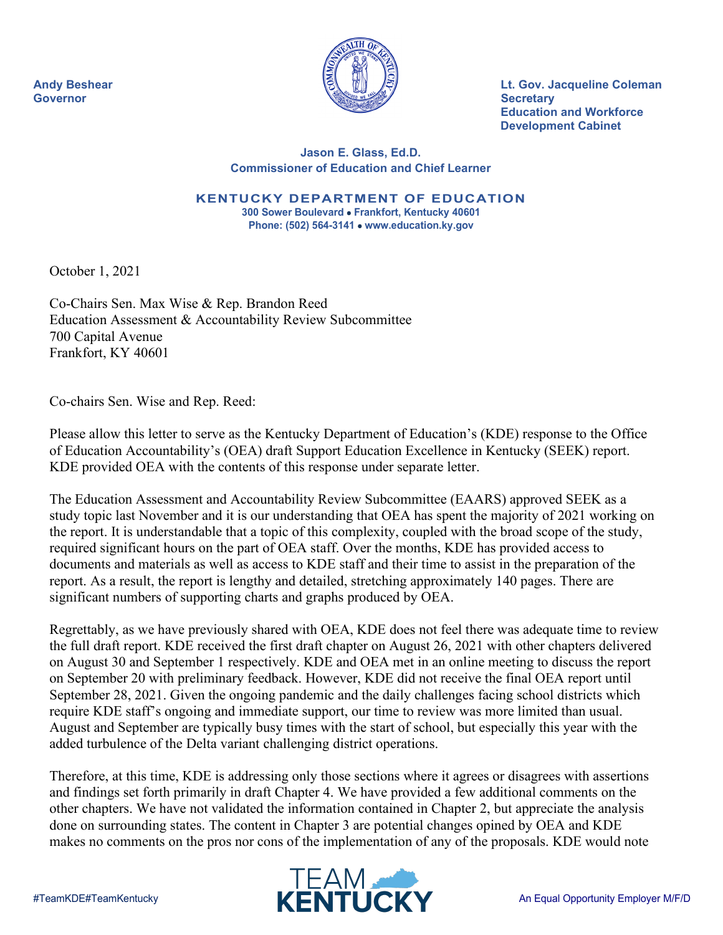

**Andy Beshear Lt. Gov. Jacqueline Coleman Education and Workforce Development Cabinet**

## **Jason E. Glass, Ed.D. Commissioner of Education and Chief Learner**

**KENTUCKY DEPARTMENT OF EDUCATION 300 Sower Boulevard** • **Frankfort, Kentucky 40601 Phone: (502) 564-3141** • **www.education.ky.gov**

October 1, 2021

Co-Chairs Sen. Max Wise & Rep. Brandon Reed Education Assessment & Accountability Review Subcommittee 700 Capital Avenue Frankfort, KY 40601

Co-chairs Sen. Wise and Rep. Reed:

Please allow this letter to serve as the Kentucky Department of Education's (KDE) response to the Office of Education Accountability's (OEA) draft Support Education Excellence in Kentucky (SEEK) report. KDE provided OEA with the contents of this response under separate letter.

The Education Assessment and Accountability Review Subcommittee (EAARS) approved SEEK as a study topic last November and it is our understanding that OEA has spent the majority of 2021 working on the report. It is understandable that a topic of this complexity, coupled with the broad scope of the study, required significant hours on the part of OEA staff. Over the months, KDE has provided access to documents and materials as well as access to KDE staff and their time to assist in the preparation of the report. As a result, the report is lengthy and detailed, stretching approximately 140 pages. There are significant numbers of supporting charts and graphs produced by OEA.

Regrettably, as we have previously shared with OEA, KDE does not feel there was adequate time to review the full draft report. KDE received the first draft chapter on August 26, 2021 with other chapters delivered on August 30 and September 1 respectively. KDE and OEA met in an online meeting to discuss the report on September 20 with preliminary feedback. However, KDE did not receive the final OEA report until September 28, 2021. Given the ongoing pandemic and the daily challenges facing school districts which require KDE staff's ongoing and immediate support, our time to review was more limited than usual. August and September are typically busy times with the start of school, but especially this year with the added turbulence of the Delta variant challenging district operations.

Therefore, at this time, KDE is addressing only those sections where it agrees or disagrees with assertions and findings set forth primarily in draft Chapter 4. We have provided a few additional comments on the other chapters. We have not validated the information contained in Chapter 2, but appreciate the analysis done on surrounding states. The content in Chapter 3 are potential changes opined by OEA and KDE makes no comments on the pros nor cons of the implementation of any of the proposals. KDE would note